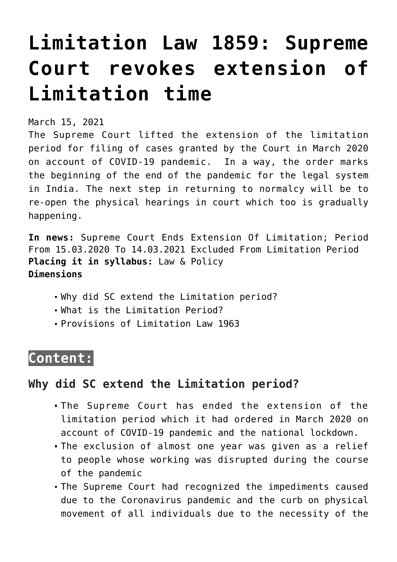# **[Limitation Law 1859: Supreme](https://journalsofindia.com/limitation-law-1859-supreme-court-revokes-extension-of-limitation-time/) [Court revokes extension of](https://journalsofindia.com/limitation-law-1859-supreme-court-revokes-extension-of-limitation-time/) [Limitation time](https://journalsofindia.com/limitation-law-1859-supreme-court-revokes-extension-of-limitation-time/)**

March 15, 2021

The Supreme Court lifted the extension of the limitation period for filing of cases granted by the Court in March 2020 on account of COVID-19 pandemic. In a way, the order marks the beginning of the end of the pandemic for the legal system in India. The next step in returning to normalcy will be to re-open the physical hearings in court which too is gradually happening.

**In news:** Supreme Court Ends Extension Of Limitation; Period From 15.03.2020 To 14.03.2021 Excluded From Limitation Period **Placing it in syllabus:** Law & Policy **Dimensions**

- Why did SC extend the Limitation period?
- What is the Limitation Period?
- Provisions of Limitation Law 1963

# **Content:**

## **Why did SC extend the Limitation period?**

- The Supreme Court has ended the extension of the limitation period which it had ordered in March 2020 on account of COVID-19 pandemic and the national lockdown.
- The exclusion of almost one year was given as a relief to people whose working was disrupted during the course of the pandemic
- The Supreme Court had recognized the impediments caused due to the Coronavirus pandemic and the curb on physical movement of all individuals due to the necessity of the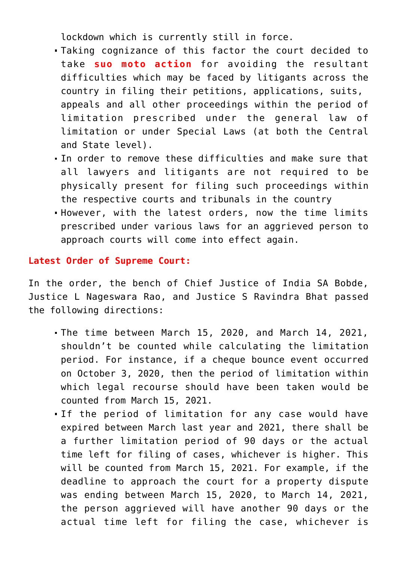lockdown which is currently still in force.

- Taking cognizance of this factor the court decided to take **suo moto action** for avoiding the resultant difficulties which may be faced by litigants across the country in filing their petitions, applications, suits, appeals and all other proceedings within the period of limitation prescribed under the general law of limitation or under Special Laws (at both the Central and State level).
- In order to remove these difficulties and make sure that all lawyers and litigants are not required to be physically present for filing such proceedings within the respective courts and tribunals in the country
- However, with the latest orders, now the time limits prescribed under various laws for an aggrieved person to approach courts will come into effect again.

#### **Latest Order of Supreme Court:**

In the order, the bench of Chief Justice of India SA Bobde, Justice L Nageswara Rao, and Justice S Ravindra Bhat passed the following directions:

- The time between March 15, 2020, and March 14, 2021, shouldn't be counted while calculating the limitation period. For instance, if a cheque bounce event occurred on October 3, 2020, then the period of limitation within which legal recourse should have been taken would be counted from March 15, 2021.
- If the period of limitation for any case would have expired between March last year and 2021, there shall be a further limitation period of 90 days or the actual time left for filing of cases, whichever is higher. This will be counted from March 15, 2021. For example, if the deadline to approach the court for a property dispute was ending between March 15, 2020, to March 14, 2021, the person aggrieved will have another 90 days or the actual time left for filing the case, whichever is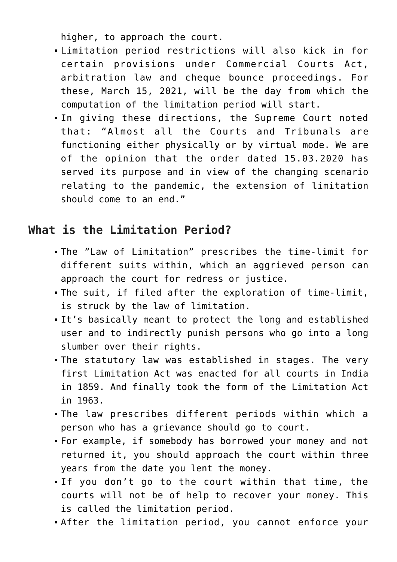higher, to approach the court.

- Limitation period restrictions will also kick in for certain provisions under Commercial Courts Act, arbitration law and cheque bounce proceedings. For these, March 15, 2021, will be the day from which the computation of the limitation period will start.
- In giving these directions, the Supreme Court noted that: "Almost all the Courts and Tribunals are functioning either physically or by virtual mode. We are of the opinion that the order dated 15.03.2020 has served its purpose and in view of the changing scenario relating to the pandemic, the extension of limitation should come to an end."

# **What is the Limitation Period?**

- The "Law of Limitation" prescribes the time-limit for different suits within, which an aggrieved person can approach the court for redress or justice.
- The suit, if filed after the exploration of time-limit, is struck by the law of limitation.
- It's basically meant to protect the long and established user and to indirectly punish persons who go into a long slumber over their rights.
- The statutory law was established in stages. The very first Limitation Act was enacted for all courts in India in 1859. And finally took the form of the Limitation Act in 1963.
- The law prescribes different periods within which a person who has a grievance should go to court.
- For example, if somebody has borrowed your money and not returned it, you should approach the court within three years from the date you lent the money.
- If you don't go to the court within that time, the courts will not be of help to recover your money. This is called the limitation period.
- After the limitation period, you cannot enforce your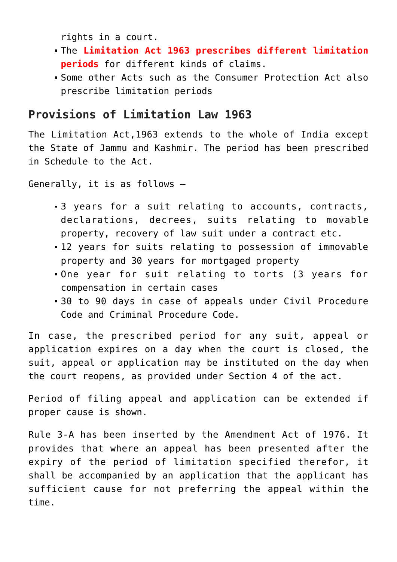rights in a court.

- The **Limitation Act 1963 prescribes different limitation periods** for different kinds of claims.
- Some other Acts such as the Consumer Protection Act also prescribe limitation periods

### **Provisions of Limitation Law 1963**

The Limitation Act,1963 extends to the whole of India except the State of Jammu and Kashmir. The period has been prescribed in Schedule to the Act.

Generally, it is as follows –

- 3 years for a suit relating to accounts, contracts, declarations, decrees, suits relating to movable property, recovery of law suit under a contract etc.
- 12 years for suits relating to possession of immovable property and 30 years for mortgaged property
- One year for suit relating to torts (3 years for compensation in certain cases
- 30 to 90 days in case of appeals under Civil Procedure Code and Criminal Procedure Code.

In case, the prescribed period for any suit, appeal or application expires on a day when the court is closed, the suit, appeal or application may be instituted on the day when the court reopens, as provided under Section 4 of the act.

Period of filing appeal and application can be extended if proper cause is shown.

Rule 3-A has been inserted by the Amendment Act of 1976. It provides that where an appeal has been presented after the expiry of the period of limitation specified therefor, it shall be accompanied by an application that the applicant has sufficient cause for not preferring the appeal within the time.